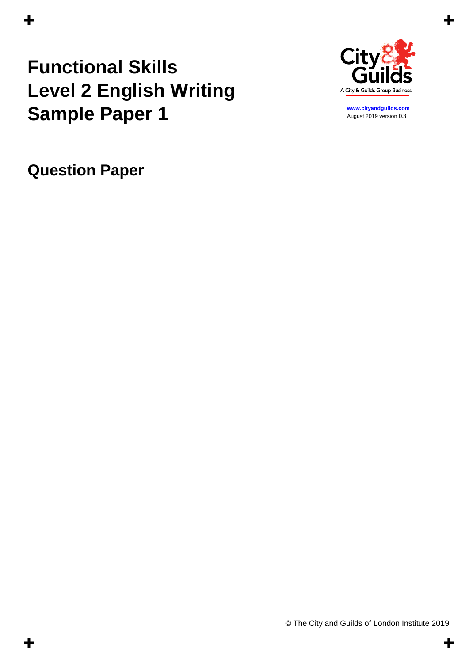# **Functional Skills Level 2 English Writing Sample Paper 1**



╺┢

**[www.cityandguilds.com](http://www.cityandguilds.com/)** August 2019 version 0.3

**Question Paper**

 $\div$ 

╋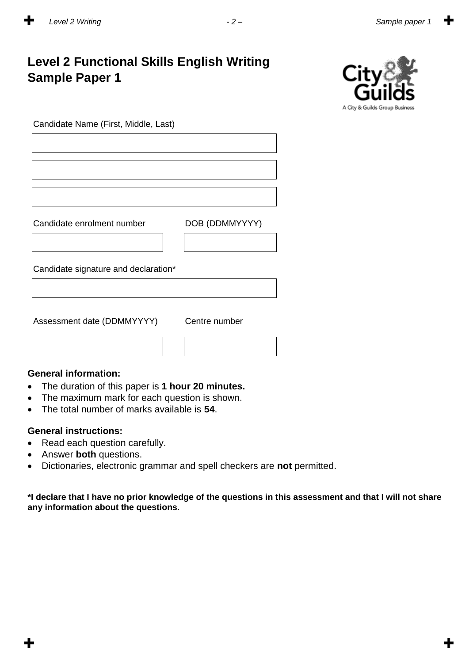

Candidate Name (First, Middle, Last)

Candidate enrolment number DOB (DDMMYYYY)

Candidate signature and declaration\*

Assessment date (DDMMYYYY) Centre number

#### **General information:**

- The duration of this paper is **1 hour 20 minutes.**
- The maximum mark for each question is shown.
- The total number of marks available is **54**.

#### **General instructions:**

╋

- Read each question carefully.
- Answer **both** questions.
- Dictionaries, electronic grammar and spell checkers are **not** permitted.

**\*I declare that I have no prior knowledge of the questions in this assessment and that I will not share any information about the questions.**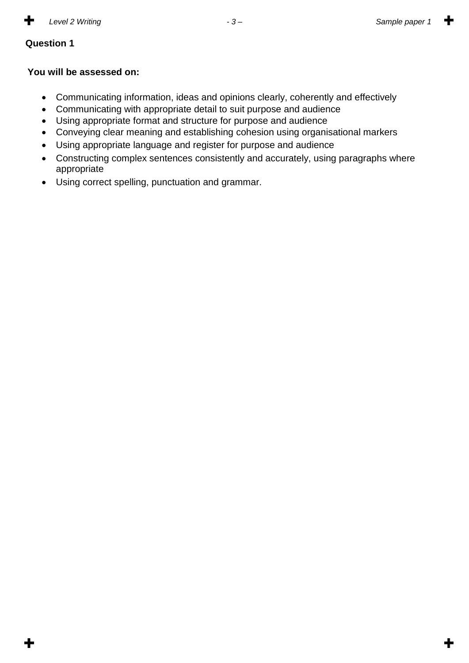

╺┡

#### **You will be assessed on:**

- Communicating information, ideas and opinions clearly, coherently and effectively
- Communicating with appropriate detail to suit purpose and audience
- Using appropriate format and structure for purpose and audience
- Conveying clear meaning and establishing cohesion using organisational markers
- Using appropriate language and register for purpose and audience
- Constructing complex sentences consistently and accurately, using paragraphs where appropriate
- Using correct spelling, punctuation and grammar.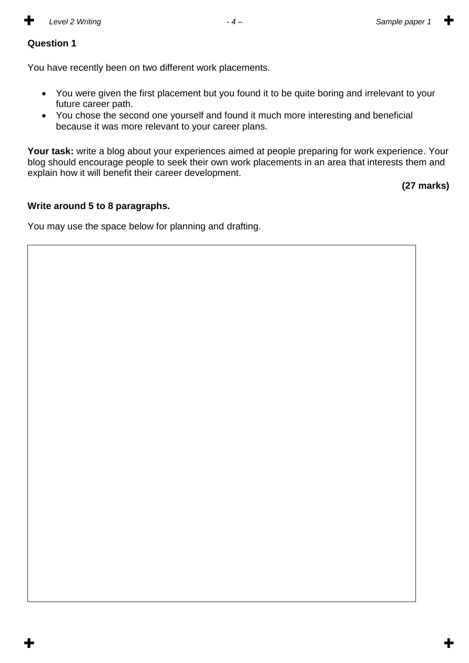

┽

You have recently been on two different work placements.

- You were given the first placement but you found it to be quite boring and irrelevant to your future career path.
- You chose the second one yourself and found it much more interesting and beneficial because it was more relevant to your career plans.

**Your task:** write a blog about your experiences aimed at people preparing for work experience. Your blog should encourage people to seek their own work placements in an area that interests them and explain how it will benefit their career development.

**(27 marks)**

### **Write around 5 to 8 paragraphs.**

You may use the space below for planning and drafting.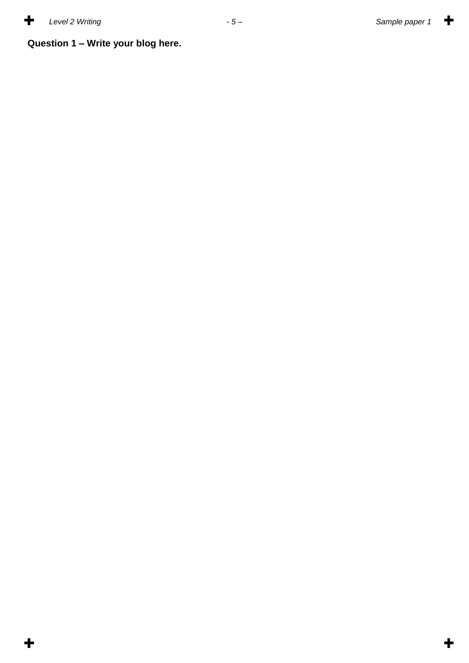

**Question 1 – Write your blog here.**

╋

╋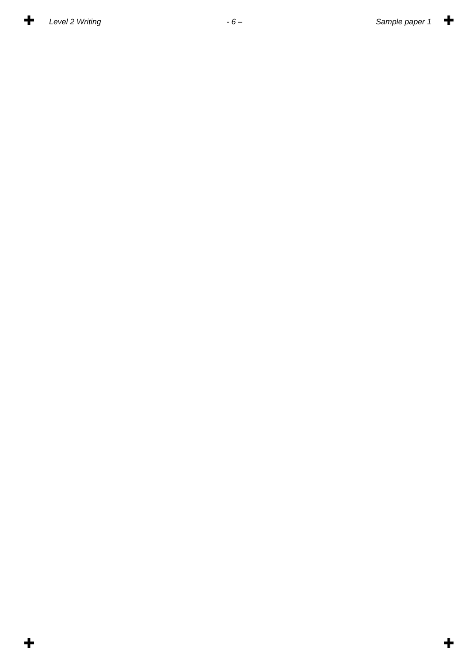

╋

 $\ddagger$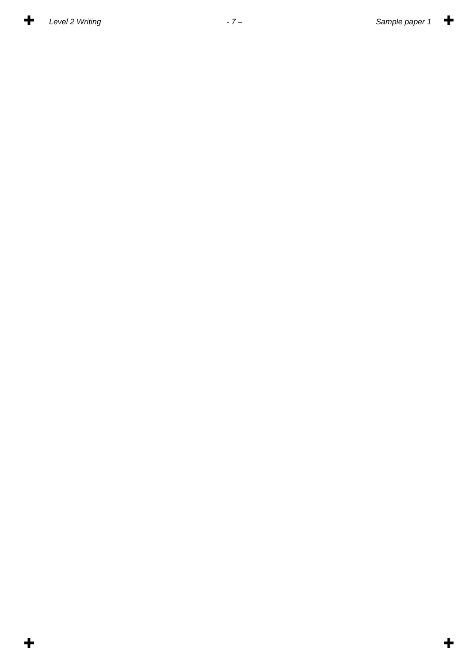

╋

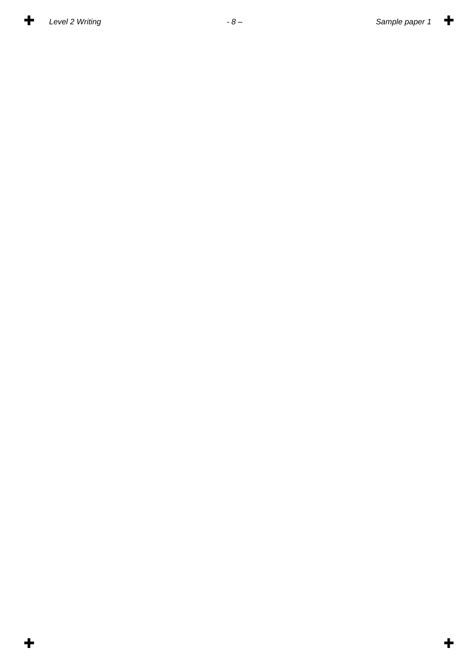

╋

 $\ddagger$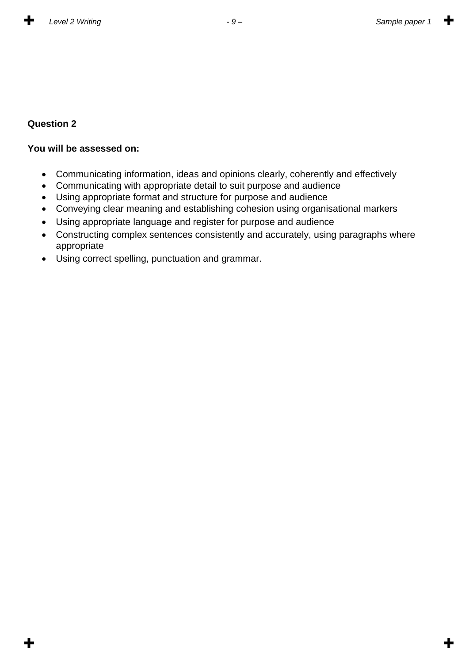

╺┡

## **You will be assessed on:**

- Communicating information, ideas and opinions clearly, coherently and effectively
- Communicating with appropriate detail to suit purpose and audience
- Using appropriate format and structure for purpose and audience
- Conveying clear meaning and establishing cohesion using organisational markers
- Using appropriate language and register for purpose and audience
- Constructing complex sentences consistently and accurately, using paragraphs where appropriate
- Using correct spelling, punctuation and grammar.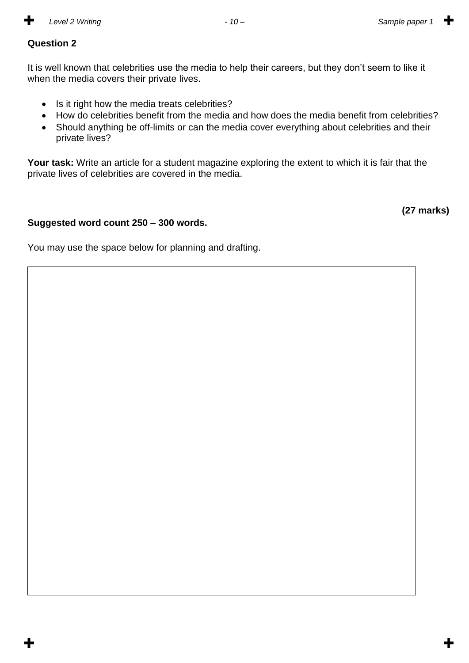

╺┝

It is well known that celebrities use the media to help their careers, but they don't seem to like it when the media covers their private lives.

- Is it right how the media treats celebrities?
- How do celebrities benefit from the media and how does the media benefit from celebrities?
- Should anything be off-limits or can the media cover everything about celebrities and their private lives?

**Your task:** Write an article for a student magazine exploring the extent to which it is fair that the private lives of celebrities are covered in the media.

### **Suggested word count 250 – 300 words.**

**(27 marks)**

You may use the space below for planning and drafting.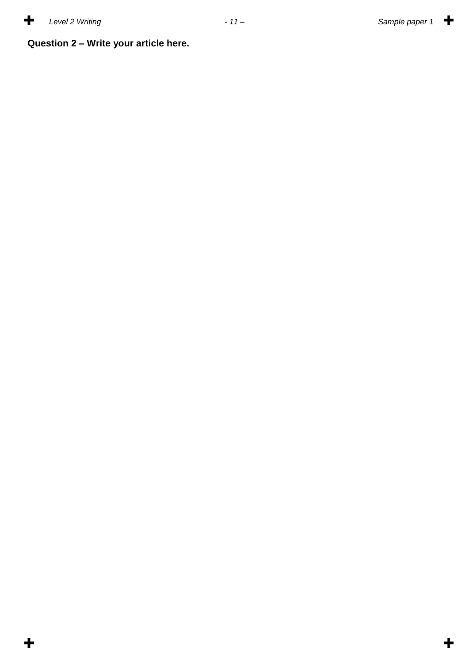

╋

**Question 2 – Write your article here.**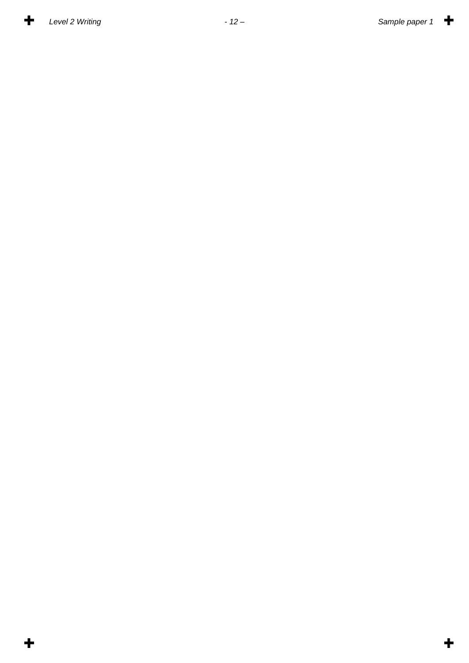

 $\begin{array}{c} \color{red} \textbf{+} \color{blue} \end{array}$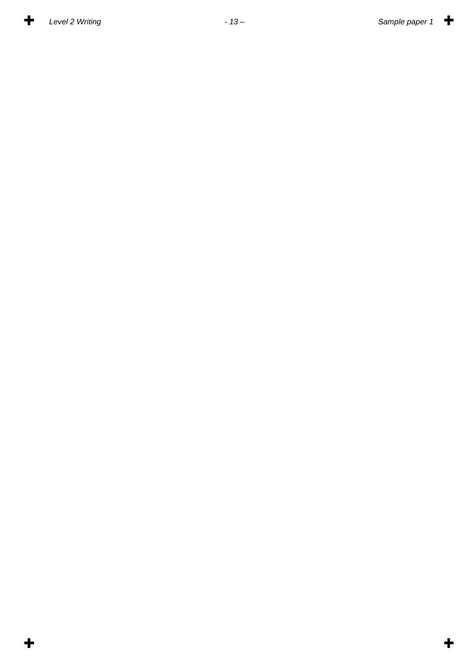



 $\ddag$